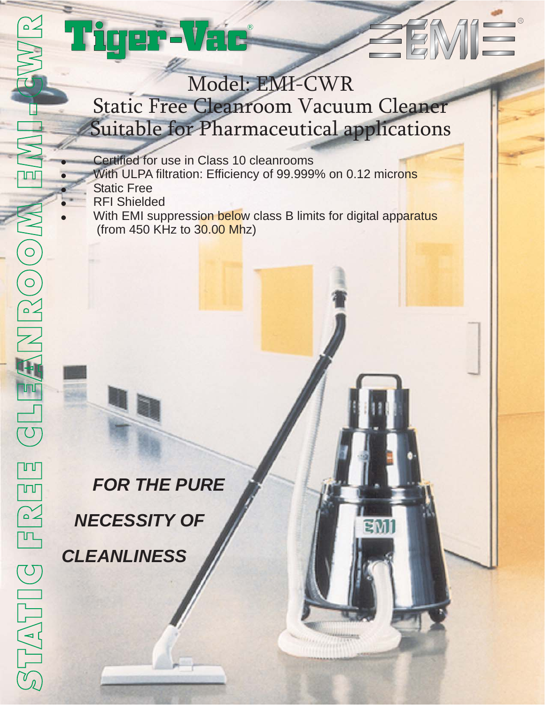# EMI g ar-Vac Model: EMI-CWR Static Free Cleanroom Vacuum Cleaner Suitable for Pharmaceutical applications Certified for use in Class 10 cleanrooms  $\bullet$ With ULPA filtration: Efficiency of 99.999% on 0.12 microns  $\overline{\phantom{0}}$ Static Free  $\overline{\phantom{0}}$ RFI Shielded  $\bullet$ With EMI suppression below class B limits for digital apparatus (from 450 KHz to 30.00 Mhz) *FOR THE PURE NECESSITY OF CLEANLINESS*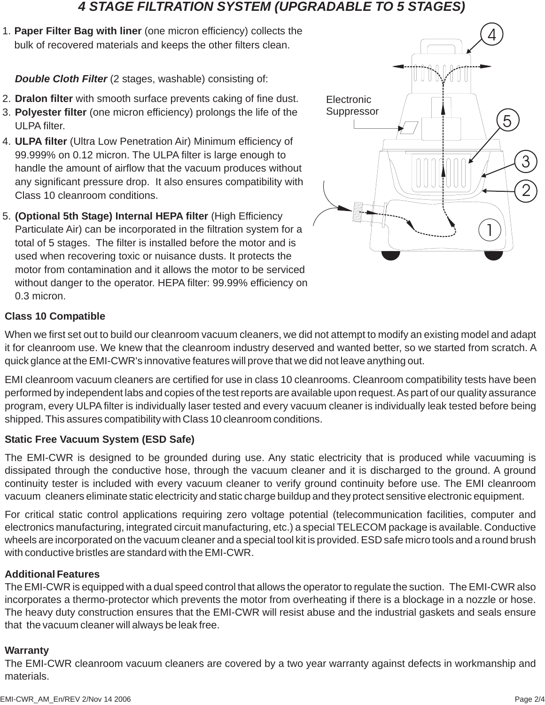## *4 STAGE FILTRATION SYSTEM (UPGRADABLE TO 5 STAGES)*

**Paper Filter Bag with liner** (one micron efficiency) collects the 1. bulk of recovered materials and keeps the other filters clean.

*Double Cloth Filter* (2 stages, washable) consisting of:

- 2. Dralon filter with smooth surface prevents caking of fine dust.
- 3. Polyester filter (one micron efficiency) prolongs the life of the ULPA filter.
- **ULPA filter** (Ultra Low Penetration Air) Minimum efficiency of 4. 99.999% on 0.12 micron. The ULPA filter is large enough to handle the amount of airflow that the vacuum produces without any significant pressure drop. It also ensures compatibility with Class 10 cleanroom conditions.
- **(Optional 5th Stage) Internal HEPA filter** (High Efficiency 5. Particulate Air) can be incorporated in the filtration system for a total of 5 stages. The filter is installed before the motor and is used when recovering toxic or nuisance dusts. It protects the motor from contamination and it allows the motor to be serviced without danger to the operator. HEPA filter: 99.99% efficiency on 0.3 micron.



## **Class 10 Compatible**

When we first set out to build our cleanroom vacuum cleaners, we did not attempt to modify an existing model and adapt it for cleanroom use. We knew that the cleanroom industry deserved and wanted better, so we started from scratch. A quick glance at the EMI-CWR's innovative features will prove that we did not leave anything out.

EMI cleanroom vacuum cleaners are certified for use in class 10 cleanrooms. Cleanroom compatibility tests have been performed by independent labs and copies of the test reports are available upon request.As part of our quality assurance program, every ULPA filter is individually laser tested and every vacuum cleaner is individually leak tested before being shipped. This assures compatibility with Class 10 cleanroom conditions.

### **Static Free Vacuum System (ESD Safe)**

The EMI-CWR is designed to be grounded during use. Any static electricity that is produced while vacuuming is dissipated through the conductive hose, through the vacuum cleaner and it is discharged to the ground. A ground continuity tester is included with every vacuum cleaner to verify ground continuity before use. The EMI cleanroom vacuum cleaners eliminate static electricity and static charge buildup and they protect sensitive electronic equipment.

For critical static control applications requiring zero voltage potential (telecommunication facilities, computer and electronics manufacturing, integrated circuit manufacturing, etc.) a special TELECOM package is available. Conductive wheels are incorporated on the vacuum cleaner and a special tool kit is provided. ESD safe micro tools and a round brush with conductive bristles are standard with the EMI-CWR.

#### **Additional Features**

The EMI-CWR is equipped with a dual speed control that allows the operator to regulate the suction. The EMI-CWR also incorporates a thermo-protector which prevents the motor from overheating if there is a blockage in a nozzle or hose. The heavy duty construction ensures that the EMI-CWR will resist abuse and the industrial gaskets and seals ensure that the vacuum cleaner will always be leak free.

#### **Warranty**

The EMI-CWR cleanroom vacuum cleaners are covered by a two year warranty against defects in workmanship and materials.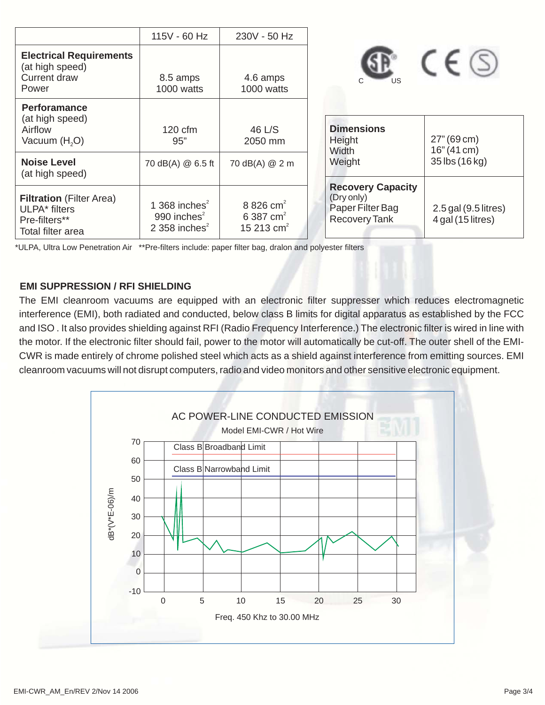|                                                                                                    | 115V - 60 Hz                                           | 230V - 50 Hz                                                   |                                                                                    |                                             |
|----------------------------------------------------------------------------------------------------|--------------------------------------------------------|----------------------------------------------------------------|------------------------------------------------------------------------------------|---------------------------------------------|
| <b>Electrical Requirements</b><br>(at high speed)<br><b>Current draw</b><br>Power                  | 8.5 amps<br>1000 watts                                 | 4.6 amps<br>1000 watts                                         | US                                                                                 | $C \in \mathbb{S}$                          |
| <b>Perforamance</b><br>(at high speed)<br>Airflow<br>Vacuum $(H2O)$                                | $120 \text{ cfm}$<br>95"                               | 46 L/S<br>2050 mm                                              | <b>Dimensions</b><br>Height<br>Width                                               | 27" (69 cm)<br>$16''(41 \text{ cm})$        |
| <b>Noise Level</b><br>(at high speed)                                                              | 70 dB(A) @ 6.5 ft                                      | 70 dB(A) @ 2 m                                                 | Weight                                                                             | 35 lbs (16 kg)                              |
| <b>Filtration</b> (Filter Area)<br>ULPA <sup>*</sup> filters<br>Pre-filters**<br>Total filter area | 1 368 inches $2$<br>990 inches $2$<br>2 358 inches $2$ | 8 826 cm <sup>2</sup><br>6 387 cm <sup>2</sup><br>15 213 $cm2$ | <b>Recovery Capacity</b><br>(Dry only)<br>Paper Filter Bag<br><b>Recovery Tank</b> | $2.5$ gal (9.5 litres)<br>4 gal (15 litres) |

\*ULPA, Ultra Low Penetration Air \*\*Pre-filters include: paper filter bag, dralon and polyester filters

#### **EMI SUPPRESSION / RFI SHIELDING**

The EMI cleanroom vacuums are equipped with an electronic filter suppresser which reduces electromagnetic interference (EMI), both radiated and conducted, below class B limits for digital apparatus as established by the FCC and ISO . It also provides shielding against RFI (Radio Frequency Interference.) The electronic filter is wired in line with the motor. If the electronic filter should fail, power to the motor will automatically be cut-off. The outer shell of the EMI-CWR is made entirely of chrome polished steel which acts as a shield against interference from emitting sources. EMI cleanroom vacuums will not disrupt computers, radio and video monitors and other sensitive electronic equipment.